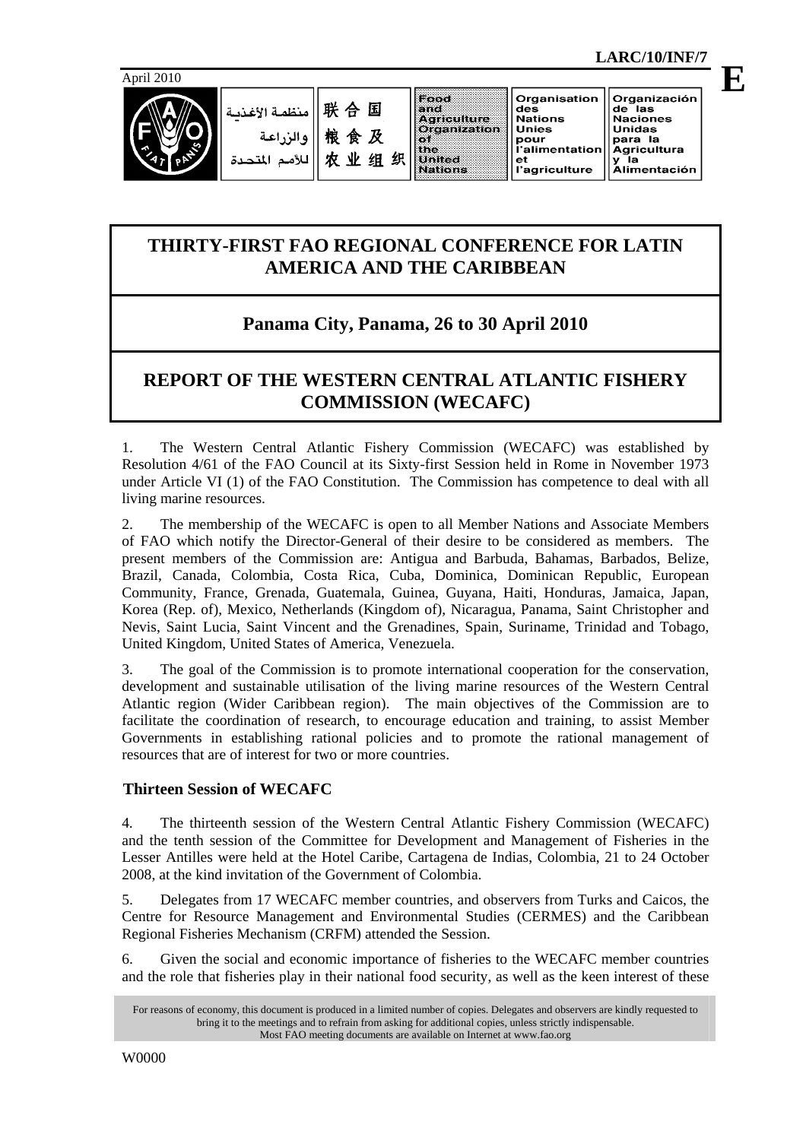

联合国 مذظم قرالأغرن 粮食及 و الن 农业组织 م الت

|      | land                        |  |  |
|------|-----------------------------|--|--|
|      |                             |  |  |
|      |                             |  |  |
|      | Agriculture<br>Organization |  |  |
| 75 F |                             |  |  |
|      | the                         |  |  |
|      | United<br>Nations           |  |  |
|      |                             |  |  |
|      |                             |  |  |
|      |                             |  |  |

pour

.<br>I'alimentatior

agriculture<sup>'</sup>

 **LARC/10/INF/7** 

para la

Agricultura

y la<br>Alimentación

**E**

# **THIRTY-FIRST FAO REGIONAL CONFERENCE FOR LATIN AMERICA AND THE CARIBBEAN**

# **Panama City, Panama, 26 to 30 April 2010**

# **REPORT OF THE WESTERN CENTRAL ATLANTIC FISHERY COMMISSION (WECAFC)**

1. The Western Central Atlantic Fishery Commission (WECAFC) was established by Resolution 4/61 of the FAO Council at its Sixty-first Session held in Rome in November 1973 under Article VI (1) of the FAO Constitution. The Commission has competence to deal with all living marine resources.

2. The membership of the WECAFC is open to all Member Nations and Associate Members of FAO which notify the Director-General of their desire to be considered as members. The present members of the Commission are: Antigua and Barbuda, Bahamas, Barbados, Belize, Brazil, Canada, Colombia, Costa Rica, Cuba, Dominica, Dominican Republic, European Community, France, Grenada, Guatemala, Guinea, Guyana, Haiti, Honduras, Jamaica, Japan, Korea (Rep. of), Mexico, Netherlands (Kingdom of), Nicaragua, Panama, Saint Christopher and Nevis, Saint Lucia, Saint Vincent and the Grenadines, Spain, Suriname, Trinidad and Tobago, United Kingdom, United States of America, Venezuela.

3. The goal of the Commission is to promote international cooperation for the conservation, development and sustainable utilisation of the living marine resources of the Western Central Atlantic region (Wider Caribbean region). The main objectives of the Commission are to facilitate the coordination of research, to encourage education and training, to assist Member Governments in establishing rational policies and to promote the rational management of resources that are of interest for two or more countries.

# **Thirteen Session of WECAFC**

4. The thirteenth session of the Western Central Atlantic Fishery Commission (WECAFC) and the tenth session of the Committee for Development and Management of Fisheries in the Lesser Antilles were held at the Hotel Caribe, Cartagena de Indias, Colombia, 21 to 24 October 2008, at the kind invitation of the Government of Colombia.

5. Delegates from 17 WECAFC member countries, and observers from Turks and Caicos, the Centre for Resource Management and Environmental Studies (CERMES) and the Caribbean Regional Fisheries Mechanism (CRFM) attended the Session.

6. Given the social and economic importance of fisheries to the WECAFC member countries and the role that fisheries play in their national food security, as well as the keen interest of these

For reasons of economy, this document is produced in a limited number of copies. Delegates and observers are kindly requested to bring it to the meetings and to refrain from asking for additional copies, unless strictly indispensable. Most FAO meeting documents are available on Internet at www.fao.org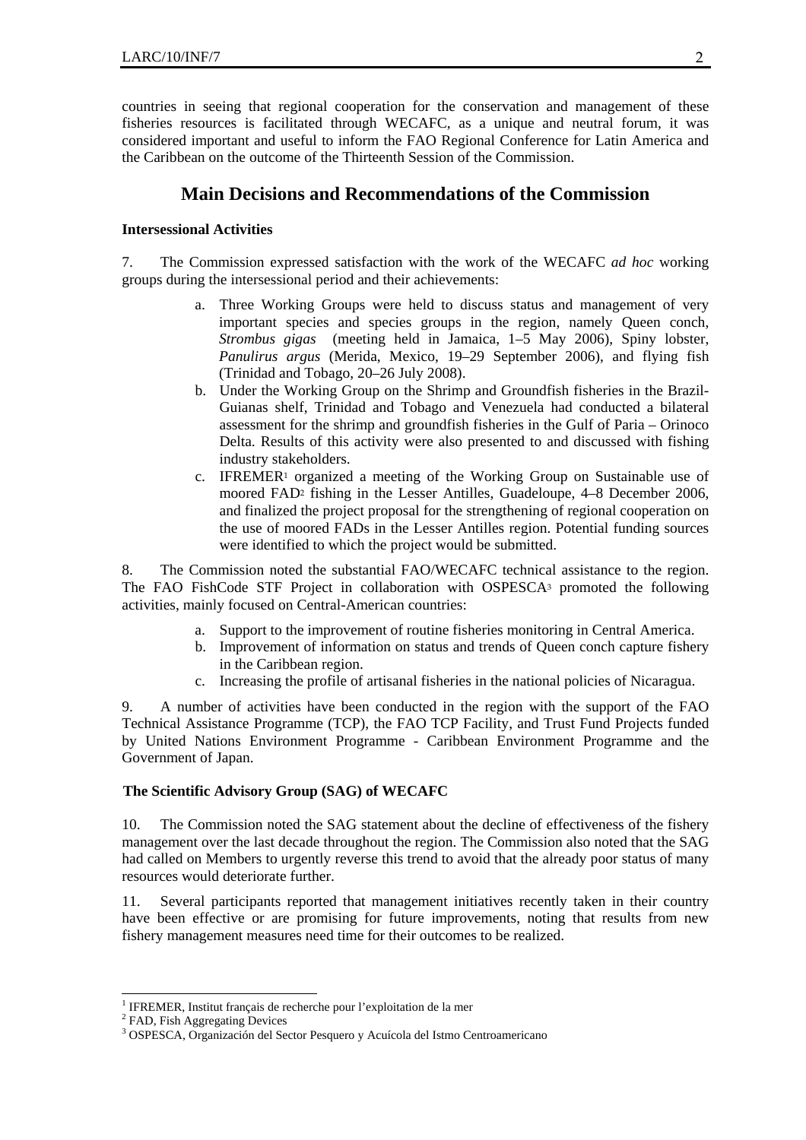countries in seeing that regional cooperation for the conservation and management of these fisheries resources is facilitated through WECAFC, as a unique and neutral forum, it was considered important and useful to inform the FAO Regional Conference for Latin America and the Caribbean on the outcome of the Thirteenth Session of the Commission.

## **Main Decisions and Recommendations of the Commission**

## **Intersessional Activities**

7. The Commission expressed satisfaction with the work of the WECAFC *ad hoc* working groups during the intersessional period and their achievements:

- a. Three Working Groups were held to discuss status and management of very important species and species groups in the region, namely Queen conch, *Strombus gigas* (meeting held in Jamaica, 1–5 May 2006), Spiny lobster, *Panulirus argus* (Merida, Mexico, 19–29 September 2006), and flying fish (Trinidad and Tobago, 20–26 July 2008).
- b. Under the Working Group on the Shrimp and Groundfish fisheries in the Brazil-Guianas shelf, Trinidad and Tobago and Venezuela had conducted a bilateral assessment for the shrimp and groundfish fisheries in the Gulf of Paria – Orinoco Delta. Results of this activity were also presented to and discussed with fishing industry stakeholders.
- c. IFREMER1 organized a meeting of the Working Group on Sustainable use of moored FAD2 fishing in the Lesser Antilles, Guadeloupe, 4–8 December 2006, and finalized the project proposal for the strengthening of regional cooperation on the use of moored FADs in the Lesser Antilles region. Potential funding sources were identified to which the project would be submitted.

8. The Commission noted the substantial FAO/WECAFC technical assistance to the region. The FAO FishCode STF Project in collaboration with OSPESCA3 promoted the following activities, mainly focused on Central-American countries:

- a. Support to the improvement of routine fisheries monitoring in Central America.
- b. Improvement of information on status and trends of Queen conch capture fishery in the Caribbean region.
- c. Increasing the profile of artisanal fisheries in the national policies of Nicaragua.

9. A number of activities have been conducted in the region with the support of the FAO Technical Assistance Programme (TCP), the FAO TCP Facility, and Trust Fund Projects funded by United Nations Environment Programme - Caribbean Environment Programme and the Government of Japan.

#### **The Scientific Advisory Group (SAG) of WECAFC**

10. The Commission noted the SAG statement about the decline of effectiveness of the fishery management over the last decade throughout the region. The Commission also noted that the SAG had called on Members to urgently reverse this trend to avoid that the already poor status of many resources would deteriorate further.

11. Several participants reported that management initiatives recently taken in their country have been effective or are promising for future improvements, noting that results from new fishery management measures need time for their outcomes to be realized.

 <sup>1</sup> IFREMER, Institut français de recherche pour l'exploitation de la mer

<sup>&</sup>lt;sup>2</sup> FAD, Fish Aggregating Devices

<sup>3</sup> OSPESCA, Organización del Sector Pesquero y Acuícola del Istmo Centroamericano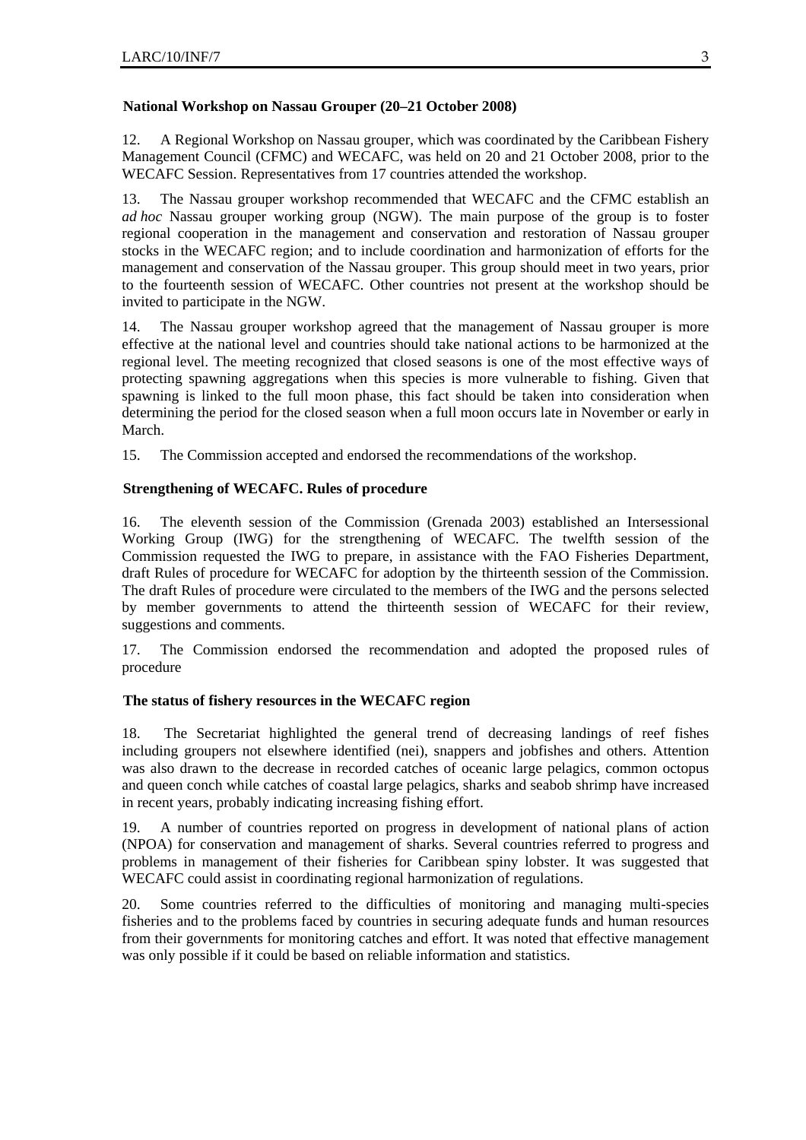### **National Workshop on Nassau Grouper (20–21 October 2008)**

12. A Regional Workshop on Nassau grouper, which was coordinated by the Caribbean Fishery Management Council (CFMC) and WECAFC, was held on 20 and 21 October 2008, prior to the WECAFC Session. Representatives from 17 countries attended the workshop.

13. The Nassau grouper workshop recommended that WECAFC and the CFMC establish an *ad hoc* Nassau grouper working group (NGW). The main purpose of the group is to foster regional cooperation in the management and conservation and restoration of Nassau grouper stocks in the WECAFC region; and to include coordination and harmonization of efforts for the management and conservation of the Nassau grouper. This group should meet in two years, prior to the fourteenth session of WECAFC. Other countries not present at the workshop should be invited to participate in the NGW.

14. The Nassau grouper workshop agreed that the management of Nassau grouper is more effective at the national level and countries should take national actions to be harmonized at the regional level. The meeting recognized that closed seasons is one of the most effective ways of protecting spawning aggregations when this species is more vulnerable to fishing. Given that spawning is linked to the full moon phase, this fact should be taken into consideration when determining the period for the closed season when a full moon occurs late in November or early in March.

15. The Commission accepted and endorsed the recommendations of the workshop.

## **Strengthening of WECAFC. Rules of procedure**

16. The eleventh session of the Commission (Grenada 2003) established an Intersessional Working Group (IWG) for the strengthening of WECAFC. The twelfth session of the Commission requested the IWG to prepare, in assistance with the FAO Fisheries Department, draft Rules of procedure for WECAFC for adoption by the thirteenth session of the Commission. The draft Rules of procedure were circulated to the members of the IWG and the persons selected by member governments to attend the thirteenth session of WECAFC for their review, suggestions and comments.

17. The Commission endorsed the recommendation and adopted the proposed rules of procedure

## **The status of fishery resources in the WECAFC region**

18. The Secretariat highlighted the general trend of decreasing landings of reef fishes including groupers not elsewhere identified (nei), snappers and jobfishes and others. Attention was also drawn to the decrease in recorded catches of oceanic large pelagics, common octopus and queen conch while catches of coastal large pelagics, sharks and seabob shrimp have increased in recent years, probably indicating increasing fishing effort.

19. A number of countries reported on progress in development of national plans of action (NPOA) for conservation and management of sharks. Several countries referred to progress and problems in management of their fisheries for Caribbean spiny lobster. It was suggested that WECAFC could assist in coordinating regional harmonization of regulations.

20. Some countries referred to the difficulties of monitoring and managing multi-species fisheries and to the problems faced by countries in securing adequate funds and human resources from their governments for monitoring catches and effort. It was noted that effective management was only possible if it could be based on reliable information and statistics.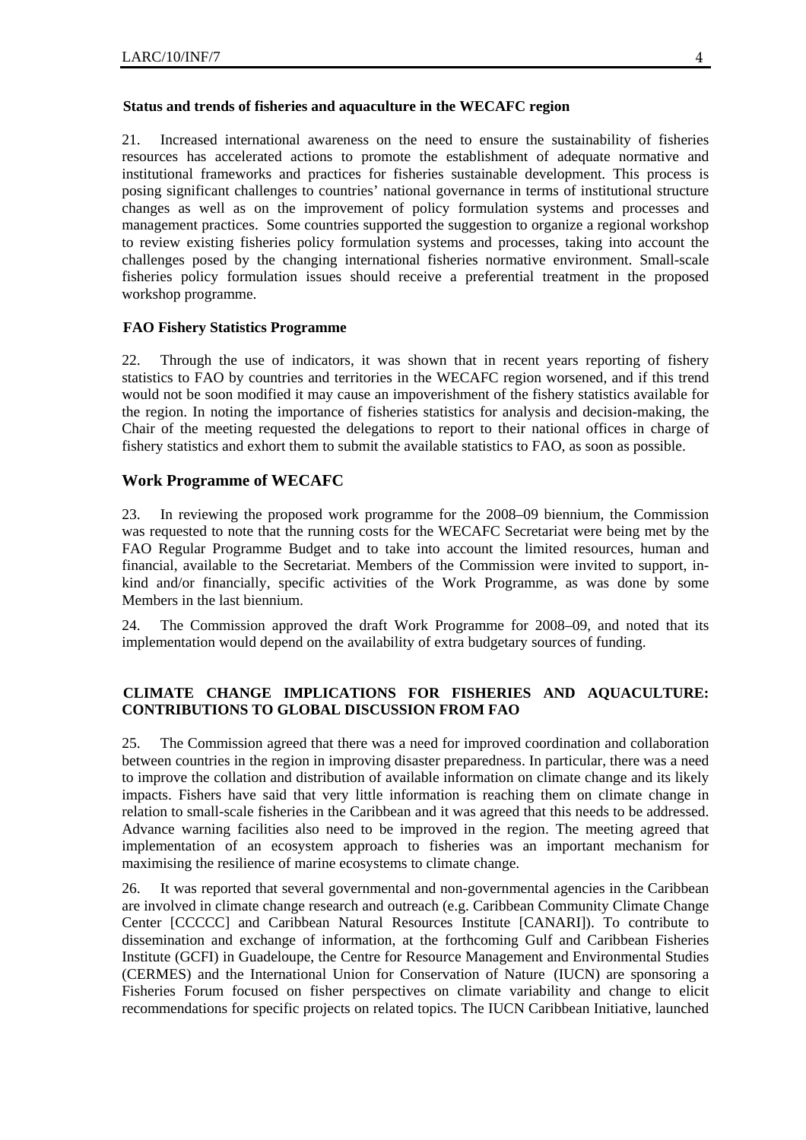#### **Status and trends of fisheries and aquaculture in the WECAFC region**

21. Increased international awareness on the need to ensure the sustainability of fisheries resources has accelerated actions to promote the establishment of adequate normative and institutional frameworks and practices for fisheries sustainable development. This process is posing significant challenges to countries' national governance in terms of institutional structure changes as well as on the improvement of policy formulation systems and processes and management practices. Some countries supported the suggestion to organize a regional workshop to review existing fisheries policy formulation systems and processes, taking into account the challenges posed by the changing international fisheries normative environment. Small-scale fisheries policy formulation issues should receive a preferential treatment in the proposed workshop programme.

#### **FAO Fishery Statistics Programme**

22. Through the use of indicators, it was shown that in recent years reporting of fishery statistics to FAO by countries and territories in the WECAFC region worsened, and if this trend would not be soon modified it may cause an impoverishment of the fishery statistics available for the region. In noting the importance of fisheries statistics for analysis and decision-making, the Chair of the meeting requested the delegations to report to their national offices in charge of fishery statistics and exhort them to submit the available statistics to FAO, as soon as possible.

## **Work Programme of WECAFC**

23. In reviewing the proposed work programme for the 2008–09 biennium, the Commission was requested to note that the running costs for the WECAFC Secretariat were being met by the FAO Regular Programme Budget and to take into account the limited resources, human and financial, available to the Secretariat. Members of the Commission were invited to support, inkind and/or financially, specific activities of the Work Programme, as was done by some Members in the last biennium.

24. The Commission approved the draft Work Programme for 2008–09, and noted that its implementation would depend on the availability of extra budgetary sources of funding.

## **CLIMATE CHANGE IMPLICATIONS FOR FISHERIES AND AQUACULTURE: CONTRIBUTIONS TO GLOBAL DISCUSSION FROM FAO**

25. The Commission agreed that there was a need for improved coordination and collaboration between countries in the region in improving disaster preparedness. In particular, there was a need to improve the collation and distribution of available information on climate change and its likely impacts. Fishers have said that very little information is reaching them on climate change in relation to small-scale fisheries in the Caribbean and it was agreed that this needs to be addressed. Advance warning facilities also need to be improved in the region. The meeting agreed that implementation of an ecosystem approach to fisheries was an important mechanism for maximising the resilience of marine ecosystems to climate change.

26. It was reported that several governmental and non-governmental agencies in the Caribbean are involved in climate change research and outreach (e.g. Caribbean Community Climate Change Center [CCCCC] and Caribbean Natural Resources Institute [CANARI]). To contribute to dissemination and exchange of information, at the forthcoming Gulf and Caribbean Fisheries Institute (GCFI) in Guadeloupe, the Centre for Resource Management and Environmental Studies (CERMES) and the International Union for Conservation of Nature (IUCN) are sponsoring a Fisheries Forum focused on fisher perspectives on climate variability and change to elicit recommendations for specific projects on related topics. The IUCN Caribbean Initiative, launched